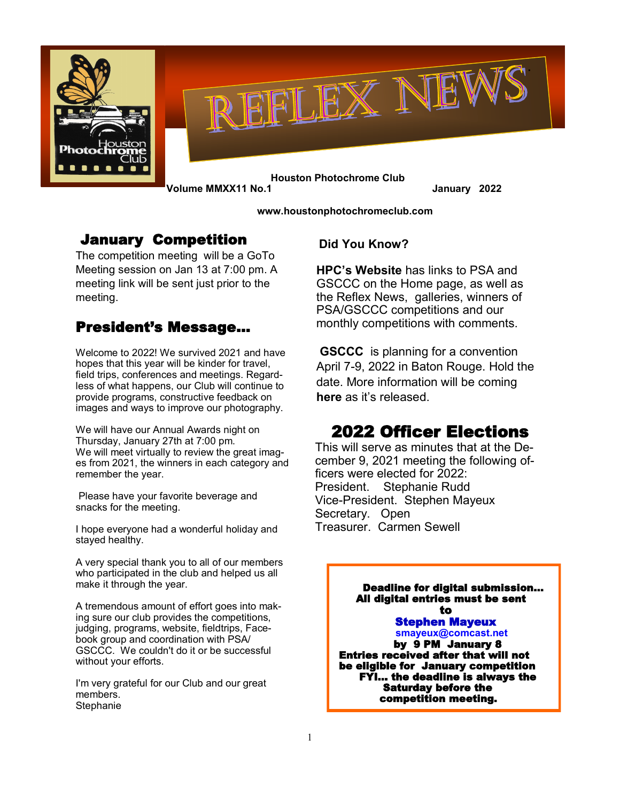



 **Houston Photochrome Club Volume MMXX11 No.1 January 2022**

 **www[.houstonphotochromec](http://Hpcphotoclub.wordpress.com)lub.com**

## January Competition

The competition meeting will be a GoTo Meeting session on Jan 13 at 7:00 pm. A meeting link will be sent just prior to the meeting.

## President's Message…

Welcome to 2022! We survived 2021 and have hopes that this year will be kinder for travel, field trips, conferences and meetings. Regardless of what happens, our Club will continue to provide programs, constructive feedback on images and ways to improve our photography.

We will have our Annual Awards night on Thursday, January 27th at 7:00 pm. We will meet virtually to review the great images from 2021, the winners in each category and remember the year.

Please have your favorite beverage and snacks for the meeting.

I hope everyone had a wonderful holiday and stayed healthy.

A very special thank you to all of our members who participated in the club and helped us all make it through the year.

A tremendous amount of effort goes into making sure our club provides the competitions, judging, programs, website, fieldtrips, Facebook group and coordination with PSA/ GSCCC. We couldn't do it or be successful without your efforts.

I'm very grateful for our Club and our great members. **Stephanie** 

#### **Did You Know?**

**HPC's Website** has links to PSA and GSCCC on the Home page, as well as the Reflex News, galleries, winners of PSA/GSCCC competitions and our monthly competitions with comments.

**GSCCC** is planning for a convention April 7-9, 2022 in Baton Rouge. Hold the date. More information will be coming **here** as it's released.

# 2022 Officer Elections

This will serve as minutes that at the December 9, 2021 meeting the following officers were elected for 2022: President. Stephanie Rudd Vice-President. Stephen Mayeux Secretary. Open Treasurer. Carmen Sewell

Deadline for digital submission… All digital entries must be sent **to** the state of the state of the state of the state of the state of the state of the state of the state of the state of the state of the state of the state of the state of the state of the state of the state of the state Stephen Mayeux **smayeux@comcast.net**  by 9 PM January 8 Entries received after that will not be eligible for January competition FYI… the deadline is always the Saturday before the competition meeting.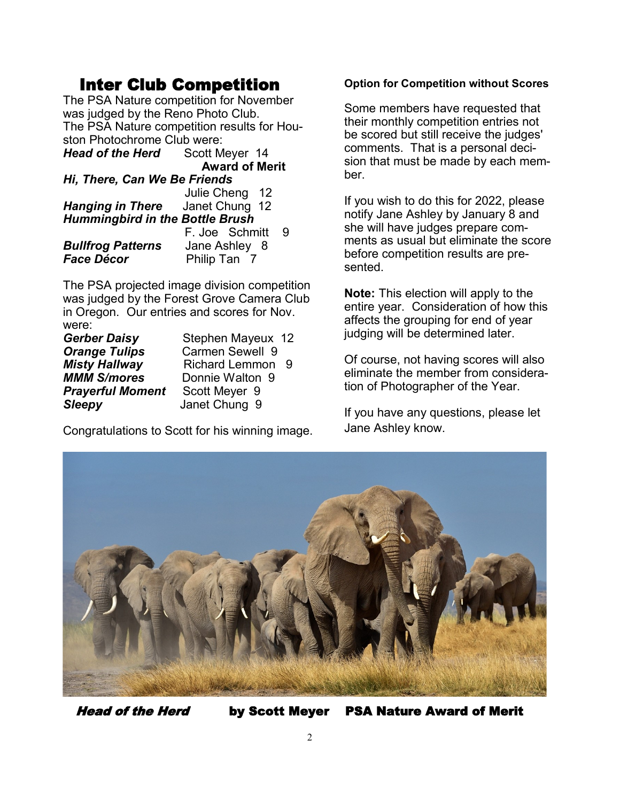# Inter Club Competition

The PSA Nature competition for November was judged by the Reno Photo Club. The PSA Nature competition results for Houston Photochrome Club were:

| Scott Meyer 14                         |                       |
|----------------------------------------|-----------------------|
|                                        |                       |
| Hi, There, Can We Be Friends           |                       |
| Julie Cheng 12                         |                       |
| <b>Hanging in There</b> Janet Chung 12 |                       |
| <b>Hummingbird in the Bottle Brush</b> |                       |
| F. Joe Schmitt                         | 9                     |
| Jane Ashley 8                          |                       |
| Philip Tan 7                           |                       |
|                                        |                       |
|                                        | <b>Award of Merit</b> |

The PSA projected image division competition was judged by the Forest Grove Camera Club in Oregon. Our entries and scores for Nov. were:

| <b>Gerber Daisy</b>     | Stephen Mayeux 12      |  |
|-------------------------|------------------------|--|
| <b>Orange Tulips</b>    | <b>Carmen Sewell 9</b> |  |
| <b>Misty Hallway</b>    | Richard Lemmon 9       |  |
| <b>MMM S/mores</b>      | Donnie Walton 9        |  |
| <b>Prayerful Moment</b> | Scott Meyer 9          |  |
| <b>Sleepy</b>           | Janet Chung 9          |  |

Congratulations to Scott for his winning image.

#### **Option for Competition without Scores**

Some members have requested that their monthly competition entries not be scored but still receive the judges' comments. That is a personal decision that must be made by each member.

If you wish to do this for 2022, please notify Jane Ashley by January 8 and she will have judges prepare comments as usual but eliminate the score before competition results are presented.

**Note:** This election will apply to the entire year. Consideration of how this affects the grouping for end of year judging will be determined later.

Of course, not having scores will also eliminate the member from consideration of Photographer of the Year.

If you have any questions, please let Jane Ashley know.



Head of the Herd by Scott Meyer PSA Nature Award of Merit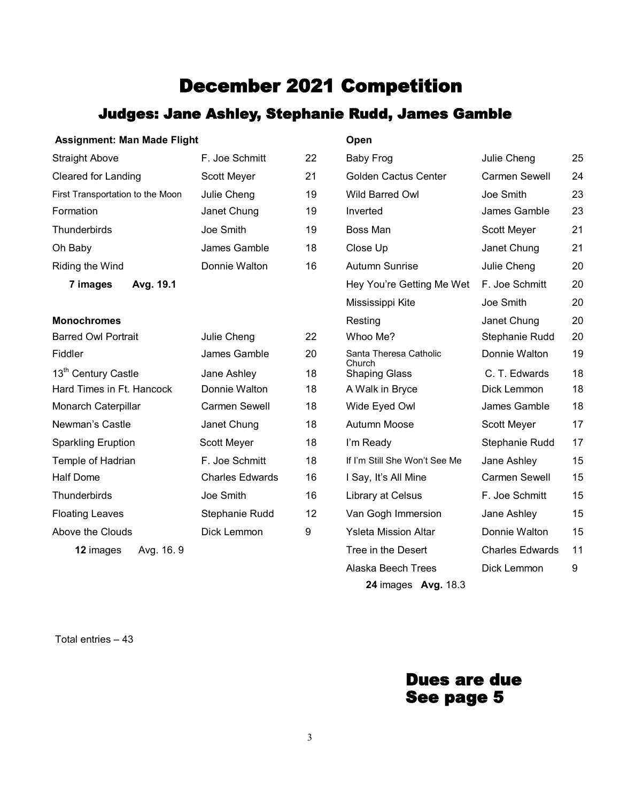# December 2021 Competition

# Judges: Jane Ashley, Stephanie Rudd, James Gamble

#### **Assignment: Man Made Flight Open**

| <b>Straight Above</b>            | F. Joe Schmitt         | 22 | Baby Frog                        | Julie Cheng            | 25 |
|----------------------------------|------------------------|----|----------------------------------|------------------------|----|
| <b>Cleared for Landing</b>       | Scott Meyer            | 21 | <b>Golden Cactus Center</b>      | <b>Carmen Sewell</b>   | 24 |
| First Transportation to the Moon | Julie Cheng            | 19 | Wild Barred Owl                  | Joe Smith              | 23 |
| Formation                        | Janet Chung            | 19 | Inverted                         | James Gamble           | 23 |
| Thunderbirds                     | Joe Smith              | 19 | Boss Man                         | Scott Meyer            | 21 |
| Oh Baby                          | James Gamble           | 18 | Close Up                         | Janet Chung            | 21 |
| Riding the Wind                  | Donnie Walton          | 16 | Autumn Sunrise                   | Julie Cheng            | 20 |
| 7 images<br>Avg. 19.1            |                        |    | Hey You're Getting Me Wet        | F. Joe Schmitt         | 20 |
|                                  |                        |    | Mississippi Kite                 | Joe Smith              | 20 |
| <b>Monochromes</b>               |                        |    | Resting                          | Janet Chung            | 20 |
| <b>Barred Owl Portrait</b>       | Julie Cheng            | 22 | Whoo Me?                         | Stephanie Rudd         | 20 |
| Fiddler                          | James Gamble           | 20 | Santa Theresa Catholic<br>Church | Donnie Walton          | 19 |
| 13 <sup>th</sup> Century Castle  | Jane Ashley            | 18 | <b>Shaping Glass</b>             | C. T. Edwards          | 18 |
| Hard Times in Ft. Hancock        | Donnie Walton          | 18 | A Walk in Bryce                  | Dick Lemmon            | 18 |
| Monarch Caterpillar              | <b>Carmen Sewell</b>   | 18 | Wide Eyed Owl                    | James Gamble           | 18 |
| Newman's Castle                  | Janet Chung            | 18 | Autumn Moose                     | Scott Meyer            | 17 |
| <b>Sparkling Eruption</b>        | Scott Meyer            | 18 | I'm Ready                        | Stephanie Rudd         | 17 |
| Temple of Hadrian                | F. Joe Schmitt         | 18 | If I'm Still She Won't See Me    | Jane Ashley            | 15 |
| <b>Half Dome</b>                 | <b>Charles Edwards</b> | 16 | I Say, It's All Mine             | <b>Carmen Sewell</b>   | 15 |
| Thunderbirds                     | Joe Smith              | 16 | Library at Celsus                | F. Joe Schmitt         | 15 |
| <b>Floating Leaves</b>           | Stephanie Rudd         | 12 | Van Gogh Immersion               | Jane Ashley            | 15 |
| Above the Clouds                 | Dick Lemmon            | 9  | <b>Ysleta Mission Altar</b>      | Donnie Walton          | 15 |
| Avg. 16.9<br>12 images           |                        |    | Tree in the Desert               | <b>Charles Edwards</b> | 11 |
|                                  |                        |    | Alaska Beech Trees               | Dick Lemmon            | 9  |

**24** images **Avg.** 18.3

Total entries – 43

# Dues are due See page 5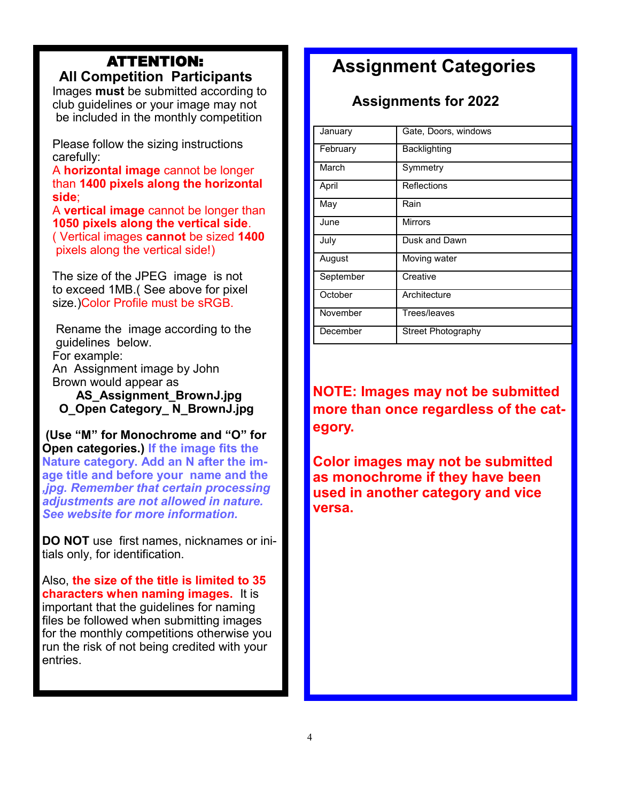### ATTENTION:  **All Competition Participants**

 Images **must** be submitted according to club guidelines or your image may not be included in the monthly competition

 Please follow the sizing instructions carefully:

 A **horizontal image** cannot be longer than **1400 pixels along the horizontal side**;

A **vertical image** cannot be longer than **1050 pixels along the vertical side**. ( Vertical images **cannot** be sized **1400** pixels along the vertical side!)

 The size of the JPEG image is not to exceed 1MB.( See above for pixel size.)Color Profile must be sRGB.

 Rename the image according to the guidelines below. For example: An Assignment image by John Brown would appear as

 **AS\_Assignment\_BrownJ.jpg O\_Open Category\_ N\_BrownJ.jpg**

**(Use "M" for Monochrome and "O" for Open categories.) If the image fits the Nature category. Add an N after the image title and before your name and the**  *,jpg. Remember that certain processing adjustments are not allowed in nature. See website for more information.*

**DO NOT** use first names, nicknames or initials only, for identification.

Also, **the size of the title is limited to 35 characters when naming images.** It is important that the guidelines for naming files be followed when submitting images for the monthly competitions otherwise you run the risk of not being credited with your entries.

# **Assignment Categories**

# **Assignments for 2022**

| January   | Gate, Doors, windows |
|-----------|----------------------|
| February  | Backlighting         |
| March     | Symmetry             |
| April     | Reflections          |
| May       | Rain                 |
| June.     | <b>Mirrors</b>       |
| July      | Dusk and Dawn        |
| August    | Moving water         |
| September | Creative             |
| October   | Architecture         |
| November  | Trees/leaves         |
| December  | Street Photography   |

**NOTE: Images may not be submitted more than once regardless of the category.** 

**Color images may not be submitted as monochrome if they have been used in another category and vice versa.**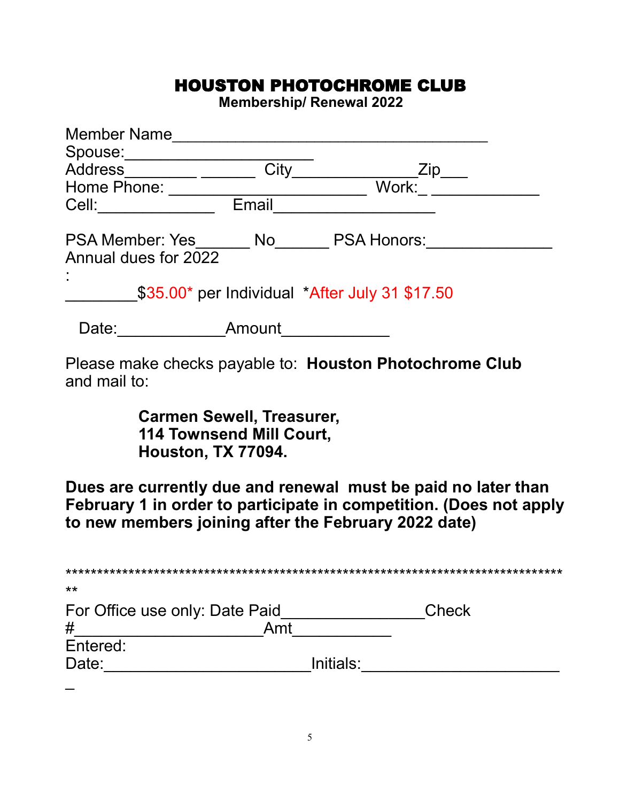# HOUSTON PHOTOCHROME CLUB

**Membership/ Renewal 2022**

| <b>Member Name</b>                             |        |                                                         |  |
|------------------------------------------------|--------|---------------------------------------------------------|--|
| Spouse:                                        |        |                                                         |  |
| <b>Address</b>                                 | City   | Zip                                                     |  |
| Home Phone:                                    |        | Work:                                                   |  |
| Cell:                                          | Email  |                                                         |  |
| <b>PSA Member: Yes</b><br>Annual dues for 2022 | No l   | <b>PSA Honors:</b>                                      |  |
|                                                |        | \$35.00* per Individual *After July 31 \$17.50          |  |
| Date:                                          | Amount |                                                         |  |
| and mail to:                                   |        | Please make checks payable to: Houston Photochrome Club |  |

**Carmen Sewell, Treasurer, 114 Townsend Mill Court,** 

**Houston, TX 77094.** 

**Dues are currently due and renewal must be paid no later than February 1 in order to participate in competition. (Does not apply to new members joining after the February 2022 date)**

| $***$                          |           |       |
|--------------------------------|-----------|-------|
| For Office use only: Date Paid |           | Check |
| #                              | Amt       |       |
| Entered:                       |           |       |
| Date:                          | Initials: |       |
|                                |           |       |